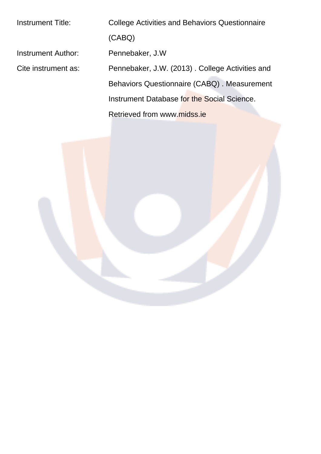| Instrument Title:   | <b>College Activities and Behaviors Questionnaire</b> |
|---------------------|-------------------------------------------------------|
|                     | (CABQ)                                                |
| Instrument Author:  | Pennebaker, J.W.                                      |
| Cite instrument as: | Pennebaker, J.W. (2013). College Activities and       |
|                     | Behaviors Questionnaire (CABQ). Measurement           |
|                     | Instrument Database for the Social Science.           |
|                     | Retrieved from www.midss.ie                           |
|                     |                                                       |